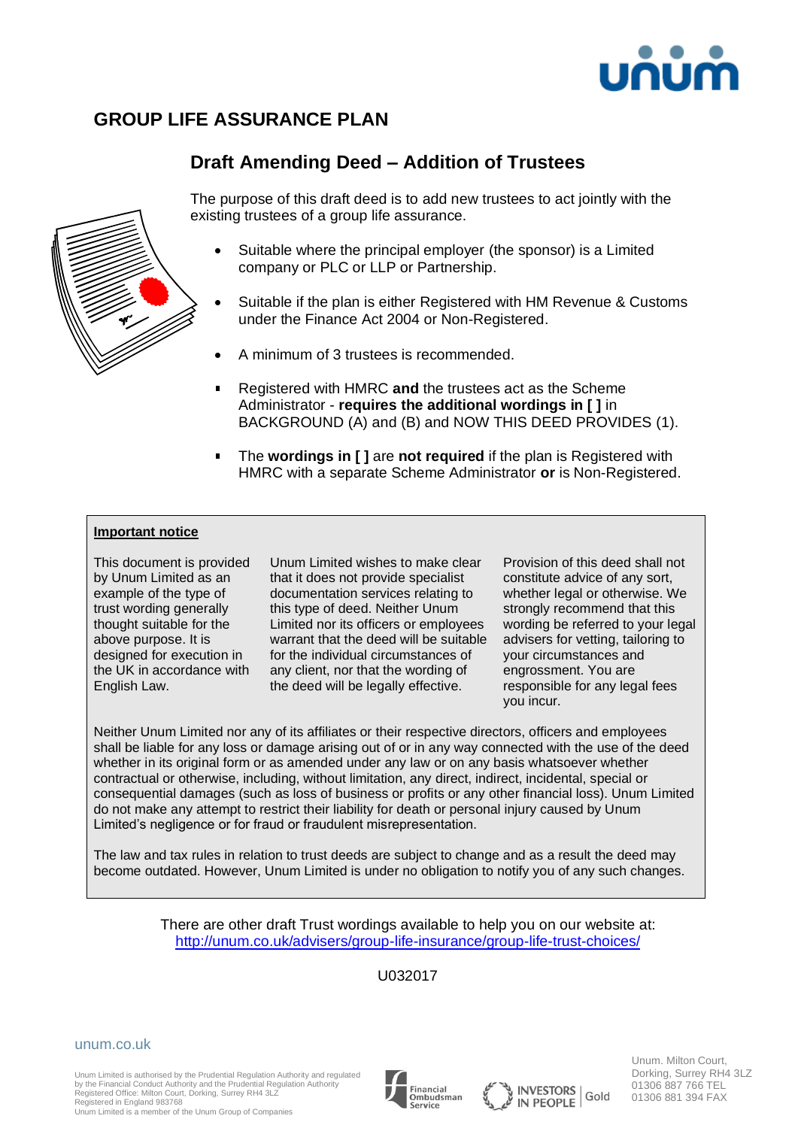

# **GROUP LIFE ASSURANCE PLAN**

# **Draft Amending Deed – Addition of Trustees**

The purpose of this draft deed is to add new trustees to act jointly with the existing trustees of a group life assurance.

- Suitable where the principal employer (the sponsor) is a Limited company or PLC or LLP or Partnership.
- Suitable if the plan is either Registered with HM Revenue & Customs under the Finance Act 2004 or Non-Registered.
- A minimum of 3 trustees is recommended.
- Registered with HMRC **and** the trustees act as the Scheme Administrator - **requires the additional wordings in [ ]** in BACKGROUND (A) and (B) and NOW THIS DEED PROVIDES (1).
- The **wordings in [ ]** are **not required** if the plan is Registered with HMRC with a separate Scheme Administrator **or** is Non-Registered.

#### **Important notice**

This document is provided by Unum Limited as an example of the type of trust wording generally thought suitable for the above purpose. It is designed for execution in the UK in accordance with English Law.

Unum Limited wishes to make clear that it does not provide specialist documentation services relating to this type of deed. Neither Unum Limited nor its officers or employees warrant that the deed will be suitable for the individual circumstances of any client, nor that the wording of the deed will be legally effective.

Provision of this deed shall not constitute advice of any sort, whether legal or otherwise. We strongly recommend that this wording be referred to your legal advisers for vetting, tailoring to your circumstances and engrossment. You are responsible for any legal fees you incur.

Neither Unum Limited nor any of its affiliates or their respective directors, officers and employees shall be liable for any loss or damage arising out of or in any way connected with the use of the deed whether in its original form or as amended under any law or on any basis whatsoever whether contractual or otherwise, including, without limitation, any direct, indirect, incidental, special or consequential damages (such as loss of business or profits or any other financial loss). Unum Limited do not make any attempt to restrict their liability for death or personal injury caused by Unum Limited's negligence or for fraud or fraudulent misrepresentation.

The law and tax rules in relation to trust deeds are subject to change and as a result the deed may become outdated. However, Unum Limited is under no obligation to notify you of any such changes.

> There are other draft Trust wordings available to help you on our website at: <http://unum.co.uk/advisers/group-life-insurance/group-life-trust-choices/>

> > U032017

unum.co.uk

Unum Limited is authorised by the Prudential Regulation Authority and regulated by the Financial Conduct Authority and the Prudential Regulation Authority Registered Office: Milton Court, Dorking, Surrey RH4 3LZ Registered in England 983768







Unum. Milton Court, Dorking, Surrey RH4 3LZ 01306 887 766 TEL 01306 881 394 FAX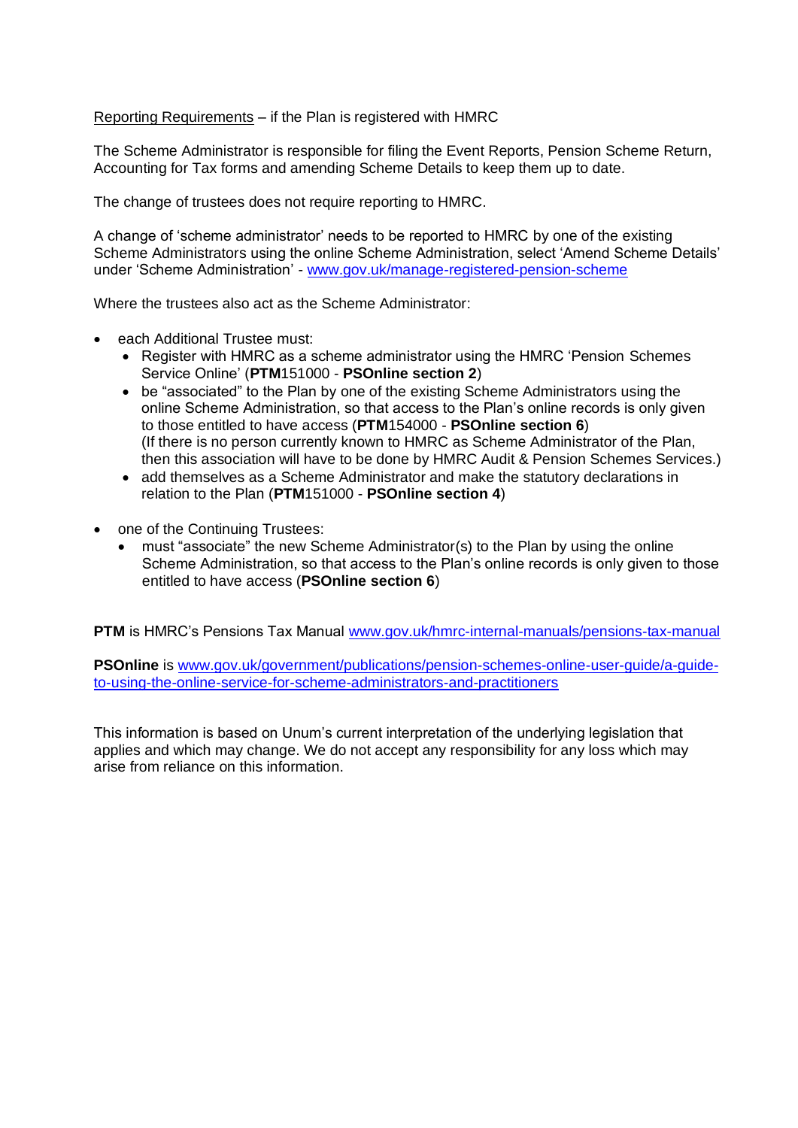Reporting Requirements – if the Plan is registered with HMRC

The Scheme Administrator is responsible for filing the Event Reports, Pension Scheme Return, Accounting for Tax forms and amending Scheme Details to keep them up to date.

The change of trustees does not require reporting to HMRC.

A change of 'scheme administrator' needs to be reported to HMRC by one of the existing Scheme Administrators using the online Scheme Administration, select 'Amend Scheme Details' under 'Scheme Administration' - [www.gov.uk/manage-registered-pension-scheme](http://www.gov.uk/manage-registered-pension-scheme)

Where the trustees also act as the Scheme Administrator:

- each Additional Trustee must:
	- Register with HMRC as a scheme administrator using the HMRC 'Pension Schemes Service Online' (**PTM**151000 - **PSOnline section 2**)
	- be "associated" to the Plan by one of the existing Scheme Administrators using the online Scheme Administration, so that access to the Plan's online records is only given to those entitled to have access (**PTM**154000 - **PSOnline section 6**) (If there is no person currently known to HMRC as Scheme Administrator of the Plan, then this association will have to be done by HMRC Audit & Pension Schemes Services.)
	- add themselves as a Scheme Administrator and make the statutory declarations in relation to the Plan (**PTM**151000 - **PSOnline section 4**)
- one of the Continuing Trustees:
	- must "associate" the new Scheme Administrator(s) to the Plan by using the online Scheme Administration, so that access to the Plan's online records is only given to those entitled to have access (**PSOnline section 6**)

**PTM** is HMRC's Pensions Tax Manual [www.gov.uk/hmrc-internal-manuals/pensions-tax-manual](http://www.gov.uk/hmrc-internal-manuals/pensions-tax-manual)

**PSOnline** is [www.gov.uk/government/publications/pension-schemes-online-user-guide/a-guide](http://www.gov.uk/government/publications/pension-schemes-online-user-guide/a-guide-to-using-the-online-service-for-scheme-administrators-and-practitioners)[to-using-the-online-service-for-scheme-administrators-and-practitioners](http://www.gov.uk/government/publications/pension-schemes-online-user-guide/a-guide-to-using-the-online-service-for-scheme-administrators-and-practitioners)

This information is based on Unum's current interpretation of the underlying legislation that applies and which may change. We do not accept any responsibility for any loss which may arise from reliance on this information.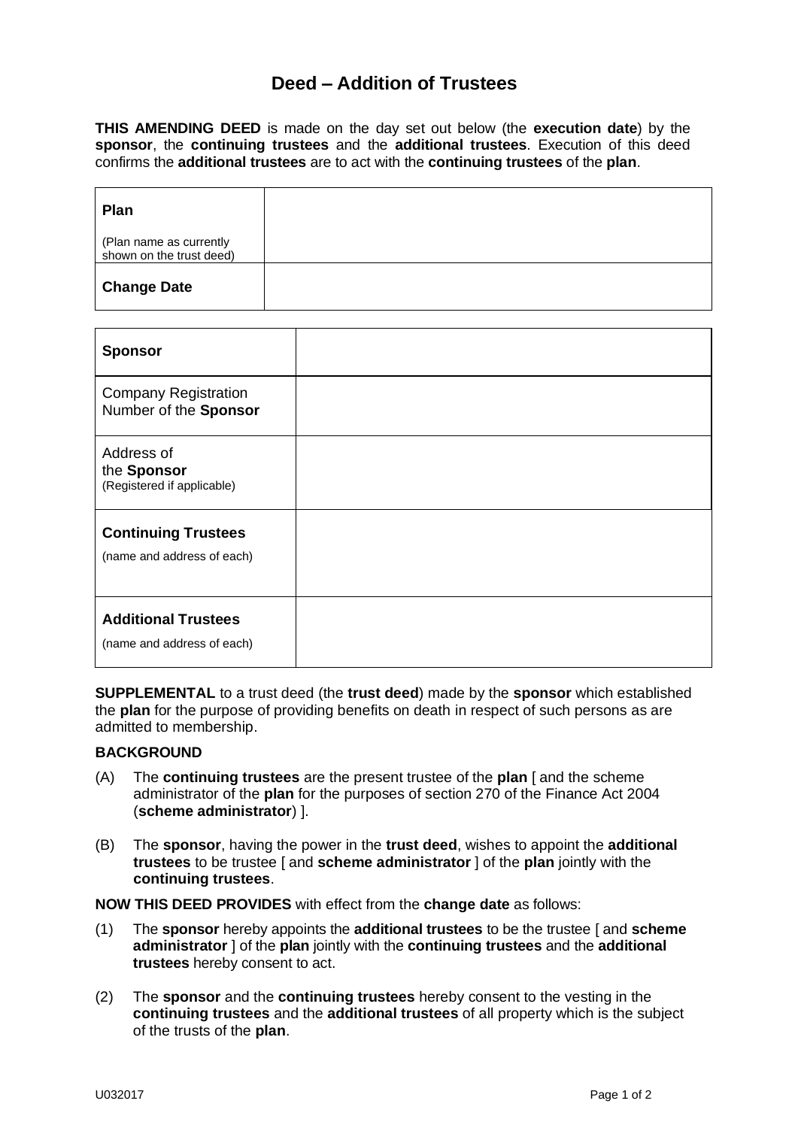# **Deed – Addition of Trustees**

**THIS AMENDING DEED** is made on the day set out below (the **execution date**) by the **sponsor**, the **continuing trustees** and the **additional trustees**. Execution of this deed confirms the **additional trustees** are to act with the **continuing trustees** of the **plan**.

| <b>Plan</b>                                         |  |
|-----------------------------------------------------|--|
| (Plan name as currently<br>shown on the trust deed) |  |
| <b>Change Date</b>                                  |  |

| <b>Sponsor</b>                                           |  |
|----------------------------------------------------------|--|
| <b>Company Registration</b><br>Number of the Sponsor     |  |
| Address of<br>the Sponsor<br>(Registered if applicable)  |  |
| <b>Continuing Trustees</b><br>(name and address of each) |  |
| <b>Additional Trustees</b><br>(name and address of each) |  |

**SUPPLEMENTAL** to a trust deed (the **trust deed**) made by the **sponsor** which established the **plan** for the purpose of providing benefits on death in respect of such persons as are admitted to membership.

#### **BACKGROUND**

- (A) The **continuing trustees** are the present trustee of the **plan** [ and the scheme administrator of the **plan** for the purposes of section 270 of the Finance Act 2004 (**scheme administrator**) ].
- (B) The **sponsor**, having the power in the **trust deed**, wishes to appoint the **additional trustees** to be trustee [ and **scheme administrator** ] of the **plan** jointly with the **continuing trustees**.

**NOW THIS DEED PROVIDES** with effect from the **change date** as follows:

- (1) The **sponsor** hereby appoints the **additional trustees** to be the trustee [ and **scheme administrator** ] of the **plan** jointly with the **continuing trustees** and the **additional trustees** hereby consent to act.
- (2) The **sponsor** and the **continuing trustees** hereby consent to the vesting in the **continuing trustees** and the **additional trustees** of all property which is the subject of the trusts of the **plan**.